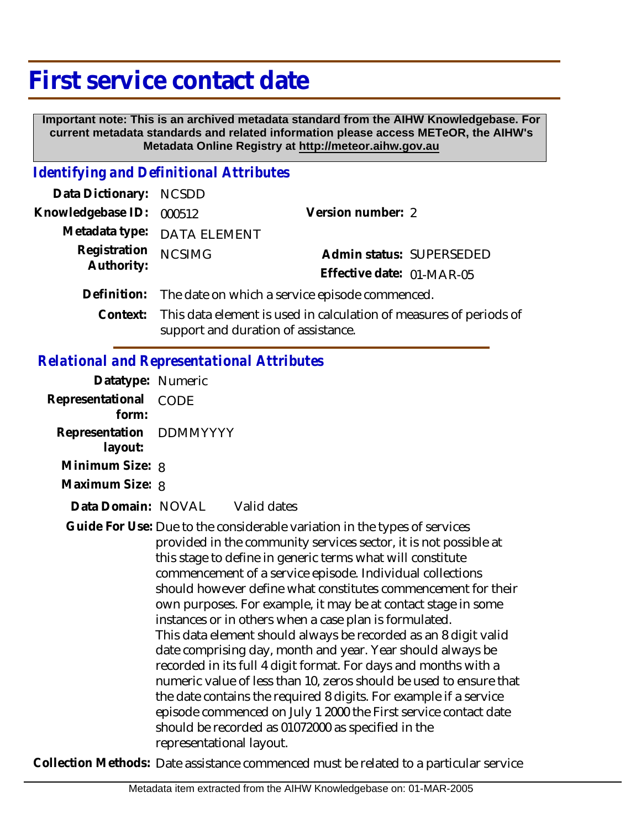## **First service contact date**

 **Important note: This is an archived metadata standard from the AIHW Knowledgebase. For current metadata standards and related information please access METeOR, the AIHW's Metadata Online Registry at http://meteor.aihw.gov.au**

## *Identifying and Definitional Attributes*

| Data Dictionary: NCSDD   |                                                                             |                           |                          |
|--------------------------|-----------------------------------------------------------------------------|---------------------------|--------------------------|
| Knowledgebase ID: 000512 |                                                                             | Version number: 2         |                          |
|                          | Metadata type: DATA ELEMENT                                                 |                           |                          |
| Registration NCSIMG      |                                                                             |                           | Admin status: SUPERSEDED |
| Authority:               |                                                                             | Effective date: 01-MAR-05 |                          |
|                          | Definition: The date on which a service episode commenced.                  |                           |                          |
|                          | Context: This data element is used in calculation of measures of periods of |                           |                          |

support and duration of assistance.

## *Relational and Representational Attributes*

| Datatype: Numeric                  |                                                                                                                                                                                                                                                                                                                                                                                                                                                                                                                                                                                                                                                                                                                                                                                                                                                                                                                                                                          |  |
|------------------------------------|--------------------------------------------------------------------------------------------------------------------------------------------------------------------------------------------------------------------------------------------------------------------------------------------------------------------------------------------------------------------------------------------------------------------------------------------------------------------------------------------------------------------------------------------------------------------------------------------------------------------------------------------------------------------------------------------------------------------------------------------------------------------------------------------------------------------------------------------------------------------------------------------------------------------------------------------------------------------------|--|
| Representational<br>form:          | CODE                                                                                                                                                                                                                                                                                                                                                                                                                                                                                                                                                                                                                                                                                                                                                                                                                                                                                                                                                                     |  |
| Representation DDMMYYYY<br>layout: |                                                                                                                                                                                                                                                                                                                                                                                                                                                                                                                                                                                                                                                                                                                                                                                                                                                                                                                                                                          |  |
| Minimum Size: 8                    |                                                                                                                                                                                                                                                                                                                                                                                                                                                                                                                                                                                                                                                                                                                                                                                                                                                                                                                                                                          |  |
| Maximum Size: 8                    |                                                                                                                                                                                                                                                                                                                                                                                                                                                                                                                                                                                                                                                                                                                                                                                                                                                                                                                                                                          |  |
| Data Domain: NOVAL                 | Valid dates                                                                                                                                                                                                                                                                                                                                                                                                                                                                                                                                                                                                                                                                                                                                                                                                                                                                                                                                                              |  |
|                                    | Guide For Use: Due to the considerable variation in the types of services<br>provided in the community services sector, it is not possible at<br>this stage to define in generic terms what will constitute<br>commencement of a service episode. Individual collections<br>should however define what constitutes commencement for their<br>own purposes. For example, it may be at contact stage in some<br>instances or in others when a case plan is formulated.<br>This data element should always be recorded as an 8 digit valid<br>date comprising day, month and year. Year should always be<br>recorded in its full 4 digit format. For days and months with a<br>numeric value of less than 10, zeros should be used to ensure that<br>the date contains the required 8 digits. For example if a service<br>episode commenced on July 1 2000 the First service contact date<br>should be recorded as 01072000 as specified in the<br>representational layout. |  |

**Collection Methods:** Date assistance commenced must be related to a particular service